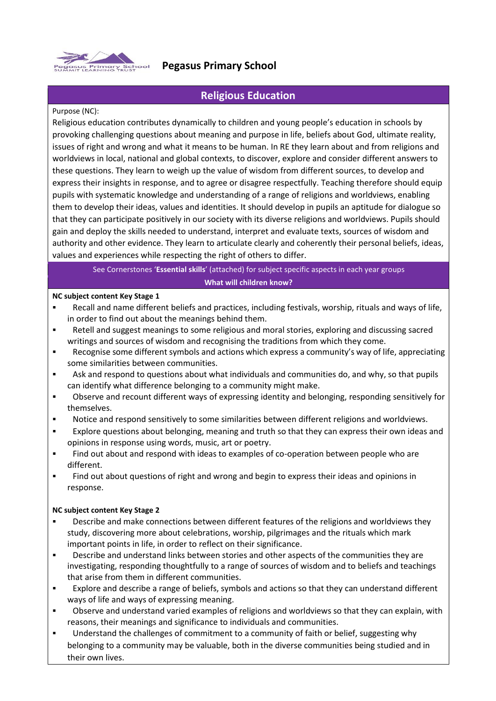

# **Pegasus Primary School**

## **Religious Education**

### Purpose (NC):

Religious education contributes dynamically to children and young people's education in schools by provoking challenging questions about meaning and purpose in life, beliefs about God, ultimate reality, issues of right and wrong and what it means to be human. In RE they learn about and from religions and worldviews in local, national and global contexts, to discover, explore and consider different answers to these questions. They learn to weigh up the value of wisdom from different sources, to develop and express their insights in response, and to agree or disagree respectfully. Teaching therefore should equip pupils with systematic knowledge and understanding of a range of religions and worldviews, enabling them to develop their ideas, values and identities. It should develop in pupils an aptitude for dialogue so that they can participate positively in our society with its diverse religions and worldviews. Pupils should gain and deploy the skills needed to understand, interpret and evaluate texts, sources of wisdom and authority and other evidence. They learn to articulate clearly and coherently their personal beliefs, ideas, values and experiences while respecting the right of others to differ.

## See Cornerstones '**Essential skills**' (attached) for subject specific aspects in each year groups **What will children know?**

### **NC subject content Key Stage 1**

- Recall and name different beliefs and practices, including festivals, worship, rituals and ways of life, in order to find out about the meanings behind them.
- Retell and suggest meanings to some religious and moral stories, exploring and discussing sacred writings and sources of wisdom and recognising the traditions from which they come.
- Recognise some different symbols and actions which express a community's way of life, appreciating some similarities between communities.
- Ask and respond to questions about what individuals and communities do, and why, so that pupils can identify what difference belonging to a community might make.
- Observe and recount different ways of expressing identity and belonging, responding sensitively for themselves.
- Notice and respond sensitively to some similarities between different religions and worldviews.
- Explore questions about belonging, meaning and truth so that they can express their own ideas and opinions in response using words, music, art or poetry.
- Find out about and respond with ideas to examples of co-operation between people who are different.
- Find out about questions of right and wrong and begin to express their ideas and opinions in response.

## **NC subject content Key Stage 2**

- Describe and make connections between different features of the religions and worldviews they study, discovering more about celebrations, worship, pilgrimages and the rituals which mark important points in life, in order to reflect on their significance.
- Describe and understand links between stories and other aspects of the communities they are investigating, responding thoughtfully to a range of sources of wisdom and to beliefs and teachings that arise from them in different communities.
- Explore and describe a range of beliefs, symbols and actions so that they can understand different ways of life and ways of expressing meaning.
- Observe and understand varied examples of religions and worldviews so that they can explain, with reasons, their meanings and significance to individuals and communities.
- Understand the challenges of commitment to a community of faith or belief, suggesting why belonging to a community may be valuable, both in the diverse communities being studied and in their own lives.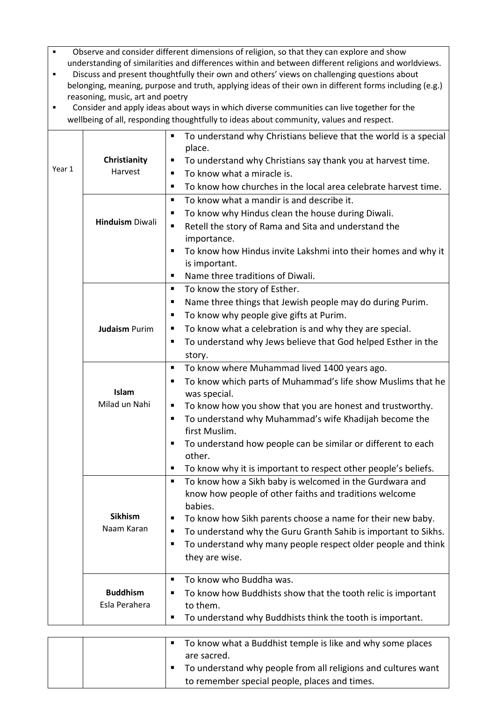- Observe and consider different dimensions of religion, so that they can explore and show understanding of similarities and differences within and between different religions and worldviews.
- Discuss and present thoughtfully their own and others' views on challenging questions about belonging, meaning, purpose and truth, applying ideas of their own in different forms including (e.g.) reasoning, music, art and poetry
- Consider and apply ideas about ways in which diverse communities can live together for the wellbeing of all, responding thoughtfully to ideas about community, values and respect.

|        |                        | To understand why Christians believe that the world is a special<br>п                                             |
|--------|------------------------|-------------------------------------------------------------------------------------------------------------------|
|        |                        | place.                                                                                                            |
|        | Christianity           | To understand why Christians say thank you at harvest time.<br>п                                                  |
| Year 1 | Harvest                | To know what a miracle is.<br>٠                                                                                   |
|        |                        | To know how churches in the local area celebrate harvest time.<br>٠                                               |
|        |                        | To know what a mandir is and describe it.<br>٠                                                                    |
|        |                        | To know why Hindus clean the house during Diwali.<br>п                                                            |
|        | <b>Hinduism Diwali</b> | Retell the story of Rama and Sita and understand the<br>٠                                                         |
|        |                        | importance.                                                                                                       |
|        |                        | To know how Hindus invite Lakshmi into their homes and why it<br>٠                                                |
|        |                        | is important.                                                                                                     |
|        |                        | Name three traditions of Diwali.<br>٠                                                                             |
|        |                        | To know the story of Esther.<br>٠                                                                                 |
|        |                        | Name three things that Jewish people may do during Purim.<br>٠                                                    |
|        |                        | To know why people give gifts at Purim.<br>ш                                                                      |
|        | <b>Judaism Purim</b>   | To know what a celebration is and why they are special.<br>ш                                                      |
|        |                        | To understand why Jews believe that God helped Esther in the<br>п                                                 |
|        |                        | story.                                                                                                            |
|        |                        | To know where Muhammad lived 1400 years ago.<br>٠                                                                 |
|        |                        | To know which parts of Muhammad's life show Muslims that he<br>п                                                  |
|        | Islam                  | was special.                                                                                                      |
|        | Milad un Nahi          | To know how you show that you are honest and trustworthy.<br>п                                                    |
|        |                        | To understand why Muhammad's wife Khadijah become the<br>п                                                        |
|        |                        | first Muslim.                                                                                                     |
|        |                        | To understand how people can be similar or different to each<br>п                                                 |
|        |                        | other.<br>п                                                                                                       |
|        |                        | To know why it is important to respect other people's beliefs.<br>٠                                               |
|        |                        | To know how a Sikh baby is welcomed in the Gurdwara and<br>know how people of other faiths and traditions welcome |
|        |                        | babies.                                                                                                           |
|        | <b>Sikhism</b>         | To know how Sikh parents choose a name for their new baby.<br>π                                                   |
|        | Naam Karan             | To understand why the Guru Granth Sahib is important to Sikhs.<br>п                                               |
|        |                        | To understand why many people respect older people and think<br>п                                                 |
|        |                        | they are wise.                                                                                                    |
|        |                        |                                                                                                                   |
|        |                        | To know who Buddha was.<br>٠                                                                                      |
|        | <b>Buddhism</b>        | To know how Buddhists show that the tooth relic is important<br>п                                                 |
|        | Esla Perahera          | to them.                                                                                                          |
|        |                        | To understand why Buddhists think the tooth is important.<br>п                                                    |
|        |                        |                                                                                                                   |

|  | To know what a Buddhist temple is like and why some places    |
|--|---------------------------------------------------------------|
|  | are sacred.                                                   |
|  | To understand why people from all religions and cultures want |
|  | to remember special people, places and times.                 |
|  |                                                               |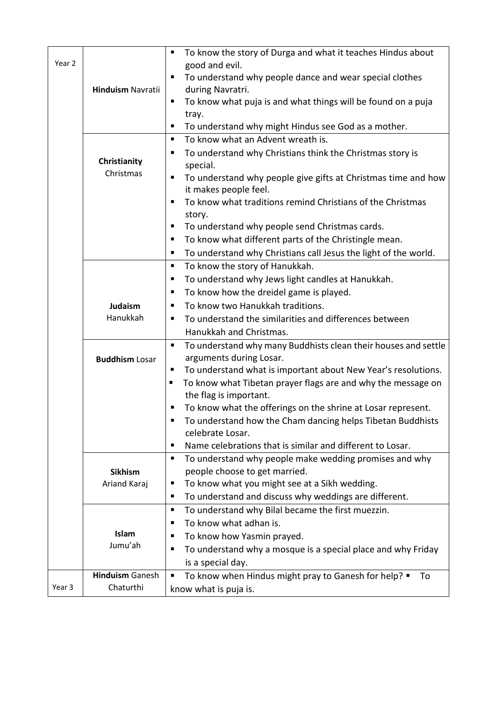|        |                           | To know the story of Durga and what it teaches Hindus about<br>٠               |
|--------|---------------------------|--------------------------------------------------------------------------------|
| Year 2 |                           | good and evil.                                                                 |
|        |                           | To understand why people dance and wear special clothes                        |
|        | <b>Hinduism Navratii</b>  | during Navratri.                                                               |
|        |                           | To know what puja is and what things will be found on a puja                   |
|        |                           | tray.                                                                          |
|        |                           | To understand why might Hindus see God as a mother.<br>п                       |
|        |                           | To know what an Advent wreath is.<br>٠                                         |
|        |                           | To understand why Christians think the Christmas story is<br>п                 |
|        | Christianity<br>Christmas | special.                                                                       |
|        |                           | To understand why people give gifts at Christmas time and how<br>п             |
|        |                           | it makes people feel.                                                          |
|        |                           | To know what traditions remind Christians of the Christmas                     |
|        |                           | story.                                                                         |
|        |                           | To understand why people send Christmas cards.<br>п                            |
|        |                           | To know what different parts of the Christingle mean.<br>п                     |
|        |                           | To understand why Christians call Jesus the light of the world.<br>п           |
|        |                           | To know the story of Hanukkah.<br>п                                            |
|        |                           | To understand why Jews light candles at Hanukkah.<br>п                         |
|        |                           | To know how the dreidel game is played.<br>Е                                   |
|        | Judaism                   | To know two Hanukkah traditions.                                               |
|        | Hanukkah                  | To understand the similarities and differences between<br>п                    |
|        |                           | Hanukkah and Christmas.                                                        |
|        |                           | To understand why many Buddhists clean their houses and settle<br>п            |
|        | <b>Buddhism Losar</b>     | arguments during Losar.                                                        |
|        |                           | To understand what is important about New Year's resolutions.                  |
|        |                           | To know what Tibetan prayer flags are and why the message on<br>п              |
|        |                           | the flag is important.                                                         |
|        |                           | To know what the offerings on the shrine at Losar represent.<br>п              |
|        |                           | To understand how the Cham dancing helps Tibetan Buddhists<br>celebrate Losar. |
|        |                           | Name celebrations that is similar and different to Losar.<br>Е                 |
|        |                           | To understand why people make wedding promises and why<br>п                    |
|        | <b>Sikhism</b>            | people choose to get married.                                                  |
|        | Ariand Karaj              | To know what you might see at a Sikh wedding.<br>п                             |
|        |                           | To understand and discuss why weddings are different.<br>п                     |
|        |                           | To understand why Bilal became the first muezzin.<br>٠                         |
|        |                           | To know what adhan is.<br>п                                                    |
|        | Islam                     | To know how Yasmin prayed.                                                     |
|        | Jumu'ah                   | To understand why a mosque is a special place and why Friday<br>п              |
|        |                           | is a special day.                                                              |
|        | <b>Hinduism Ganesh</b>    | To know when Hindus might pray to Ganesh for help? .<br>To<br>Ξ                |
| Year 3 | Chaturthi                 |                                                                                |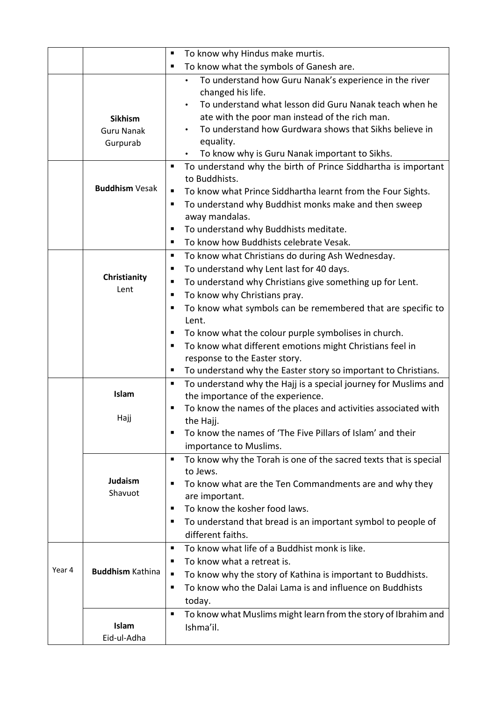|        |                         | ٠ | To know why Hindus make murtis.                                                           |
|--------|-------------------------|---|-------------------------------------------------------------------------------------------|
|        |                         | п | To know what the symbols of Ganesh are.                                                   |
|        |                         |   | To understand how Guru Nanak's experience in the river                                    |
|        |                         |   | changed his life.                                                                         |
|        |                         |   | To understand what lesson did Guru Nanak teach when he                                    |
|        | <b>Sikhism</b>          |   | ate with the poor man instead of the rich man.                                            |
|        | <b>Guru Nanak</b>       |   | To understand how Gurdwara shows that Sikhs believe in                                    |
|        | Gurpurab                |   | equality.                                                                                 |
|        |                         |   | To know why is Guru Nanak important to Sikhs.                                             |
|        |                         | ٠ | To understand why the birth of Prince Siddhartha is important                             |
|        | <b>Buddhism Vesak</b>   |   | to Buddhists.                                                                             |
|        |                         | ٠ | To know what Prince Siddhartha learnt from the Four Sights.                               |
|        |                         | ш | To understand why Buddhist monks make and then sweep                                      |
|        |                         |   | away mandalas.                                                                            |
|        |                         | п | To understand why Buddhists meditate.                                                     |
|        |                         | ٠ | To know how Buddhists celebrate Vesak.                                                    |
|        |                         | п | To know what Christians do during Ash Wednesday.                                          |
|        | Christianity            | ш | To understand why Lent last for 40 days.                                                  |
|        | Lent                    | ٠ | To understand why Christians give something up for Lent.                                  |
|        |                         | ٠ | To know why Christians pray.                                                              |
|        |                         | ٠ | To know what symbols can be remembered that are specific to                               |
|        |                         | ٠ | Lent.                                                                                     |
|        |                         | ٠ | To know what the colour purple symbolises in church.                                      |
|        |                         |   | To know what different emotions might Christians feel in<br>response to the Easter story. |
|        |                         | ■ | To understand why the Easter story so important to Christians.                            |
|        |                         | ш | To understand why the Hajj is a special journey for Muslims and                           |
|        | Islam                   |   | the importance of the experience.                                                         |
|        |                         | п | To know the names of the places and activities associated with                            |
|        | Hajj                    |   | the Hajj.                                                                                 |
|        |                         | п | To know the names of 'The Five Pillars of Islam' and their                                |
|        |                         |   | importance to Muslims.                                                                    |
|        |                         | п | To know why the Torah is one of the sacred texts that is special                          |
|        |                         |   | to Jews.                                                                                  |
|        | <b>Judaism</b>          | ٠ | To know what are the Ten Commandments are and why they                                    |
|        | Shavuot                 |   | are important.                                                                            |
|        |                         | ٠ | To know the kosher food laws.                                                             |
|        |                         | ٠ | To understand that bread is an important symbol to people of                              |
|        |                         |   | different faiths.                                                                         |
|        |                         | ٠ | To know what life of a Buddhist monk is like.                                             |
|        |                         | ш | To know what a retreat is.                                                                |
| Year 4 | <b>Buddhism Kathina</b> | п | To know why the story of Kathina is important to Buddhists.                               |
|        |                         | ٠ | To know who the Dalai Lama is and influence on Buddhists                                  |
|        |                         |   | today.                                                                                    |
|        |                         | ٠ | To know what Muslims might learn from the story of Ibrahim and                            |
|        | Islam                   |   | Ishma'il.                                                                                 |
|        | Eid-ul-Adha             |   |                                                                                           |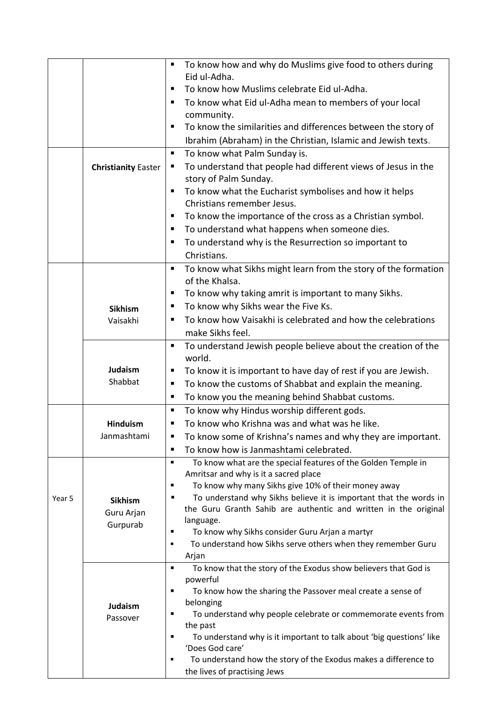|        |                            | To know how and why do Muslims give food to others during<br>٠<br>Eid ul-Adha.          |
|--------|----------------------------|-----------------------------------------------------------------------------------------|
|        |                            | To know how Muslims celebrate Eid ul-Adha.<br>п                                         |
|        |                            | To know what Eid ul-Adha mean to members of your local<br>٠                             |
|        |                            | community.                                                                              |
|        |                            | To know the similarities and differences between the story of<br>п                      |
|        |                            | Ibrahim (Abraham) in the Christian, Islamic and Jewish texts.                           |
|        |                            | To know what Palm Sunday is.<br>٠                                                       |
|        | <b>Christianity Easter</b> | To understand that people had different views of Jesus in the<br>ш                      |
|        |                            | story of Palm Sunday.                                                                   |
|        |                            | To know what the Eucharist symbolises and how it helps<br>٠                             |
|        |                            | Christians remember Jesus.                                                              |
|        |                            | To know the importance of the cross as a Christian symbol.<br>п                         |
|        |                            | To understand what happens when someone dies.<br>п                                      |
|        |                            | To understand why is the Resurrection so important to<br>٠                              |
|        |                            | Christians.                                                                             |
|        |                            | To know what Sikhs might learn from the story of the formation<br>٠<br>of the Khalsa.   |
|        |                            | To know why taking amrit is important to many Sikhs.<br>п                               |
|        | <b>Sikhism</b>             | To know why Sikhs wear the Five Ks.<br>ш                                                |
|        | Vaisakhi                   | To know how Vaisakhi is celebrated and how the celebrations<br>٠                        |
|        |                            | make Sikhs feel.                                                                        |
|        |                            | To understand Jewish people believe about the creation of the<br>п<br>world.            |
|        | Judaism                    | To know it is important to have day of rest if you are Jewish.<br>٠                     |
|        | Shabbat                    | To know the customs of Shabbat and explain the meaning.<br>п                            |
|        |                            | To know you the meaning behind Shabbat customs.<br>٠                                    |
|        |                            | To know why Hindus worship different gods.<br>ш                                         |
|        | <b>Hinduism</b>            | To know who Krishna was and what was he like.<br>Е                                      |
|        | Janmashtami                | To know some of Krishna's names and why they are important.<br>п                        |
|        |                            | To know how is Janmashtami celebrated.<br>П                                             |
|        |                            | To know what are the special features of the Golden Temple in<br>$\blacksquare$         |
|        |                            | Amritsar and why is it a sacred place                                                   |
|        |                            | To know why many Sikhs give 10% of their money away<br>٠                                |
| Year 5 | <b>Sikhism</b>             | To understand why Sikhs believe it is important that the words in<br>$\blacksquare$     |
|        | Guru Arjan                 | the Guru Granth Sahib are authentic and written in the original                         |
|        | Gurpurab                   | language.                                                                               |
|        |                            | To know why Sikhs consider Guru Arjan a martyr<br>п<br>٠                                |
|        |                            | To understand how Sikhs serve others when they remember Guru                            |
|        |                            | Arjan<br>To know that the story of the Exodus show believers that God is<br>٠           |
|        |                            | powerful                                                                                |
|        |                            | To know how the sharing the Passover meal create a sense of<br>$\blacksquare$           |
|        | Judaism                    | belonging                                                                               |
|        |                            | To understand why people celebrate or commemorate events from<br>٠                      |
|        |                            | the past                                                                                |
|        |                            | To understand why is it important to talk about 'big questions' like<br>п               |
|        |                            |                                                                                         |
|        |                            |                                                                                         |
|        | Passover                   | 'Does God care'<br>To understand how the story of the Exodus makes a difference to<br>п |
|        |                            | the lives of practising Jews                                                            |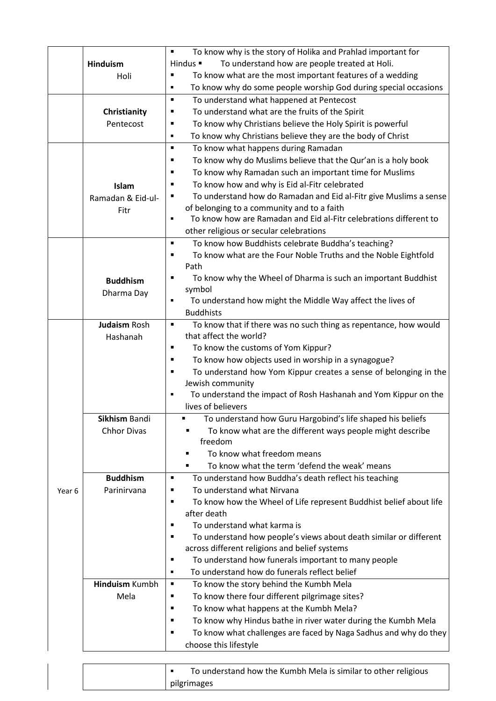|        |                       | To know why is the story of Holika and Prahlad important for<br>٠                    |
|--------|-----------------------|--------------------------------------------------------------------------------------|
|        | <b>Hinduism</b>       | To understand how are people treated at Holi.<br>Hindus $\blacksquare$               |
|        | Holi                  | To know what are the most important features of a wedding<br>П                       |
|        |                       | To know why do some people worship God during special occasions<br>٠                 |
|        |                       | To understand what happened at Pentecost<br>٠                                        |
|        | Christianity          | To understand what are the fruits of the Spirit                                      |
|        | Pentecost             | To know why Christians believe the Holy Spirit is powerful<br>Е                      |
|        |                       | To know why Christians believe they are the body of Christ<br>٠                      |
|        |                       | To know what happens during Ramadan<br>$\blacksquare$                                |
|        |                       | To know why do Muslims believe that the Qur'an is a holy book<br>■                   |
|        |                       | To know why Ramadan such an important time for Muslims<br>п                          |
|        | Islam                 | To know how and why is Eid al-Fitr celebrated<br>п                                   |
|        | Ramadan & Eid-ul-     | To understand how do Ramadan and Eid al-Fitr give Muslims a sense<br>Е               |
|        | Fitr                  | of belonging to a community and to a faith                                           |
|        |                       | To know how are Ramadan and Eid al-Fitr celebrations different to<br>п               |
|        |                       | other religious or secular celebrations                                              |
|        |                       | To know how Buddhists celebrate Buddha's teaching?<br>٠                              |
|        |                       | To know what are the Four Noble Truths and the Noble Eightfold<br>п                  |
|        |                       | Path                                                                                 |
|        | <b>Buddhism</b>       | To know why the Wheel of Dharma is such an important Buddhist<br>п                   |
|        | Dharma Day            | symbol                                                                               |
|        |                       | To understand how might the Middle Way affect the lives of<br>п                      |
|        |                       | <b>Buddhists</b>                                                                     |
|        | <b>Judaism Rosh</b>   | To know that if there was no such thing as repentance, how would<br>٠                |
|        | Hashanah              | that affect the world?                                                               |
|        |                       | To know the customs of Yom Kippur?<br>Ξ                                              |
|        |                       | To know how objects used in worship in a synagogue?<br>п                             |
|        |                       | To understand how Yom Kippur creates a sense of belonging in the<br>п                |
|        |                       | Jewish community                                                                     |
|        |                       | To understand the impact of Rosh Hashanah and Yom Kippur on the                      |
|        |                       | lives of believers                                                                   |
|        | Sikhism Bandi         | To understand how Guru Hargobind's life shaped his beliefs                           |
|        | <b>Chhor Divas</b>    | To know what are the different ways people might describe                            |
|        |                       | freedom                                                                              |
|        |                       | To know what freedom means<br>٠                                                      |
|        |                       | To know what the term 'defend the weak' means                                        |
|        | <b>Buddhism</b>       | To understand how Buddha's death reflect his teaching<br>٠                           |
| Year 6 | Parinirvana           | To understand what Nirvana                                                           |
|        |                       | To know how the Wheel of Life represent Buddhist belief about life<br>$\blacksquare$ |
|        |                       | after death                                                                          |
|        |                       | To understand what karma is<br>г                                                     |
|        |                       | To understand how people's views about death similar or different<br>п               |
|        |                       | across different religions and belief systems                                        |
|        |                       | To understand how funerals important to many people<br>п                             |
|        |                       | To understand how do funerals reflect belief<br>٠                                    |
|        | <b>Hinduism Kumbh</b> | To know the story behind the Kumbh Mela<br>٠                                         |
|        | Mela                  | To know there four different pilgrimage sites?<br>п                                  |
|        |                       | To know what happens at the Kumbh Mela?<br>п                                         |
|        |                       | To know why Hindus bathe in river water during the Kumbh Mela<br>П                   |
|        |                       | To know what challenges are faced by Naga Sadhus and why do they<br>п                |
|        |                       | choose this lifestyle                                                                |
|        |                       |                                                                                      |
|        |                       | To understand how the Kumbh Mela is similar to other religious<br>٠                  |

pilgrimages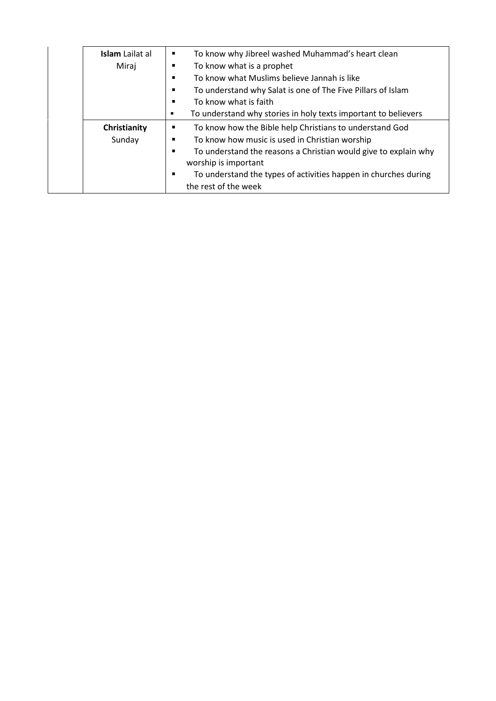| <b>Islam</b> Lailat al<br>Miraj | To know why Jibreel washed Muhammad's heart clean<br>٠<br>To know what is a prophet<br>٠<br>To know what Muslims believe Jannah is like<br>٠<br>To understand why Salat is one of The Five Pillars of Islam<br>٠<br>To know what is faith<br>٠<br>To understand why stories in holy texts important to believers<br>٠            |
|---------------------------------|----------------------------------------------------------------------------------------------------------------------------------------------------------------------------------------------------------------------------------------------------------------------------------------------------------------------------------|
| Christianity<br>Sunday          | To know how the Bible help Christians to understand God<br>٠<br>To know how music is used in Christian worship<br>٠<br>To understand the reasons a Christian would give to explain why<br>$\blacksquare$<br>worship is important<br>To understand the types of activities happen in churches during<br>٠<br>the rest of the week |